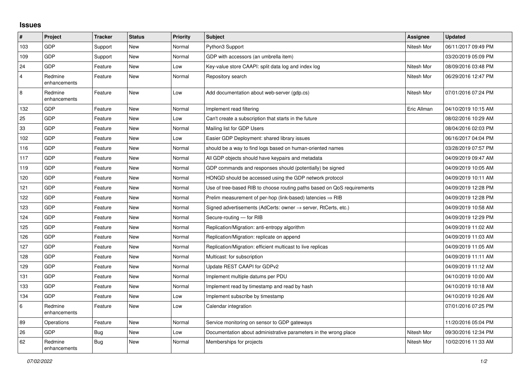## **Issues**

| #              | Project                 | <b>Tracker</b> | <b>Status</b> | <b>Priority</b> | <b>Subject</b>                                                          | Assignee    | <b>Updated</b>      |
|----------------|-------------------------|----------------|---------------|-----------------|-------------------------------------------------------------------------|-------------|---------------------|
| 103            | GDP                     | Support        | <b>New</b>    | Normal          | Python3 Support                                                         | Nitesh Mor  | 06/11/2017 09:49 PM |
| 109            | GDP                     | Support        | <b>New</b>    | Normal          | GDP with accessors (an umbrella item)                                   |             | 03/20/2019 05:09 PM |
| 24             | <b>GDP</b>              | Feature        | <b>New</b>    | Low             | Key-value store CAAPI: split data log and index log                     | Nitesh Mor  | 08/09/2016 03:48 PM |
| $\overline{4}$ | Redmine<br>enhancements | Feature        | <b>New</b>    | Normal          | Repository search                                                       | Nitesh Mor  | 06/29/2016 12:47 PM |
| 8              | Redmine<br>enhancements | Feature        | <b>New</b>    | Low             | Add documentation about web-server (gdp.cs)                             | Nitesh Mor  | 07/01/2016 07:24 PM |
| 132            | GDP                     | Feature        | <b>New</b>    | Normal          | Implement read filtering                                                | Eric Allman | 04/10/2019 10:15 AM |
| 25             | GDP                     | Feature        | New           | Low             | Can't create a subscription that starts in the future                   |             | 08/02/2016 10:29 AM |
| 33             | <b>GDP</b>              | Feature        | <b>New</b>    | Normal          | Mailing list for GDP Users                                              |             | 08/04/2016 02:03 PM |
| 102            | <b>GDP</b>              | Feature        | <b>New</b>    | Low             | Easier GDP Deployment: shared library issues                            |             | 06/16/2017 04:04 PM |
| 116            | GDP                     | Feature        | New           | Normal          | should be a way to find logs based on human-oriented names              |             | 03/28/2019 07:57 PM |
| 117            | <b>GDP</b>              | Feature        | <b>New</b>    | Normal          | All GDP objects should have keypairs and metadata                       |             | 04/09/2019 09:47 AM |
| 119            | <b>GDP</b>              | Feature        | <b>New</b>    | Normal          | GDP commands and responses should (potentially) be signed               |             | 04/09/2019 10:05 AM |
| 120            | <b>GDP</b>              | Feature        | <b>New</b>    | Normal          | HONGD should be accessed using the GDP network protocol                 |             | 04/09/2019 10:11 AM |
| 121            | GDP                     | Feature        | New           | Normal          | Use of tree-based RIB to choose routing paths based on QoS requirements |             | 04/09/2019 12:28 PM |
| 122            | GDP                     | Feature        | <b>New</b>    | Normal          | Prelim measurement of per-hop (link-based) latencies $\Rightarrow$ RIB  |             | 04/09/2019 12:28 PM |
| 123            | GDP                     | Feature        | New           | Normal          | Signed advertisements (AdCerts: owner → server, RtCerts, etc.)          |             | 04/09/2019 10:58 AM |
| 124            | <b>GDP</b>              | Feature        | <b>New</b>    | Normal          | Secure-routing - for RIB                                                |             | 04/09/2019 12:29 PM |
| 125            | GDP                     | Feature        | <b>New</b>    | Normal          | Replication/Migration: anti-entropy algorithm                           |             | 04/09/2019 11:02 AM |
| 126            | <b>GDP</b>              | Feature        | <b>New</b>    | Normal          | Replication/Migration: replicate on append                              |             | 04/09/2019 11:03 AM |
| 127            | <b>GDP</b>              | Feature        | New           | Normal          | Replication/Migration: efficient multicast to live replicas             |             | 04/09/2019 11:05 AM |
| 128            | GDP                     | Feature        | <b>New</b>    | Normal          | Multicast: for subscription                                             |             | 04/09/2019 11:11 AM |
| 129            | GDP                     | Feature        | <b>New</b>    | Normal          | Update REST CAAPI for GDPv2                                             |             | 04/09/2019 11:12 AM |
| 131            | <b>GDP</b>              | Feature        | New           | Normal          | Implement multiple datums per PDU                                       |             | 04/10/2019 10:00 AM |
| 133            | <b>GDP</b>              | Feature        | <b>New</b>    | Normal          | Implement read by timestamp and read by hash                            |             | 04/10/2019 10:18 AM |
| 134            | <b>GDP</b>              | Feature        | New           | Low             | Implement subscribe by timestamp                                        |             | 04/10/2019 10:26 AM |
| 6              | Redmine<br>enhancements | Feature        | New           | Low             | Calendar integration                                                    |             | 07/01/2016 07:25 PM |
| 89             | Operations              | Feature        | <b>New</b>    | Normal          | Service monitoring on sensor to GDP gateways                            |             | 11/20/2016 05:04 PM |
| 26             | GDP                     | <b>Bug</b>     | New           | Low             | Documentation about administrative parameters in the wrong place        | Nitesh Mor  | 09/30/2016 12:34 PM |
| 62             | Redmine<br>enhancements | <b>Bug</b>     | <b>New</b>    | Normal          | Memberships for projects                                                | Nitesh Mor  | 10/02/2016 11:33 AM |